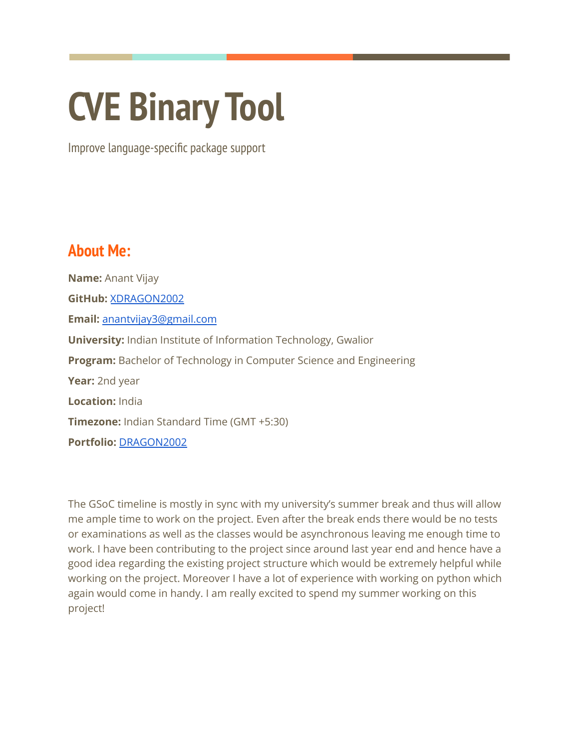# **CVE Binary Tool**

Improve language-specific package support

# **About Me:**

**Name:** Anant Vijay **GitHub:** [XDRAGON2002](https://github.com/XDRAGON2002) **Email:** [anantvijay3@gmail.com](mailto:anantvijay3@gmail.com) **University:** Indian Institute of Information Technology, Gwalior **Program:** Bachelor of Technology in Computer Science and Engineering **Year:** 2nd year **Location:** India **Timezone:** Indian Standard Time (GMT +5:30) **Portfolio:** [DRAGON2002](https://dragon2002.vercel.app/)

The GSoC timeline is mostly in sync with my university's summer break and thus will allow me ample time to work on the project. Even after the break ends there would be no tests or examinations as well as the classes would be asynchronous leaving me enough time to work. I have been contributing to the project since around last year end and hence have a good idea regarding the existing project structure which would be extremely helpful while working on the project. Moreover I have a lot of experience with working on python which again would come in handy. I am really excited to spend my summer working on this project!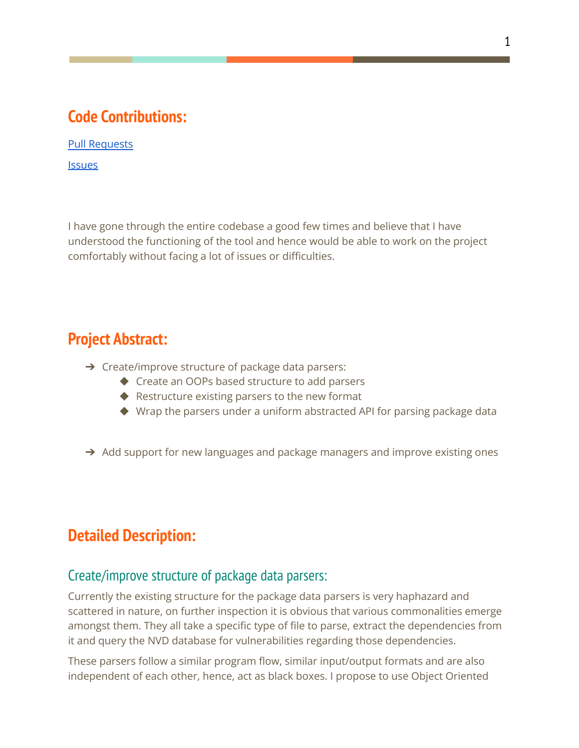# **Code Contributions:**

Pull [Requests](https://github.com/intel/cve-bin-tool/pulls/XDRAGON2002)

**[Issues](https://github.com/intel/cve-bin-tool/issues/created_by/XDRAGON2002)** 

I have gone through the entire codebase a good few times and believe that I have understood the functioning of the tool and hence would be able to work on the project comfortably without facing a lot of issues or difficulties.

# **Project Abstract:**

- ➔ Create/improve structure of package data parsers:
	- ◆ Create an OOPs based structure to add parsers
	- ◆ Restructure existing parsers to the new format
	- ◆ Wrap the parsers under a uniform abstracted API for parsing package data
- $\rightarrow$  Add support for new languages and package managers and improve existing ones

# **Detailed Description:**

# Create/improve structure of package data parsers:

Currently the existing structure for the package data parsers is very haphazard and scattered in nature, on further inspection it is obvious that various commonalities emerge amongst them. They all take a specific type of file to parse, extract the dependencies from it and query the NVD database for vulnerabilities regarding those dependencies.

These parsers follow a similar program flow, similar input/output formats and are also independent of each other, hence, act as black boxes. I propose to use Object Oriented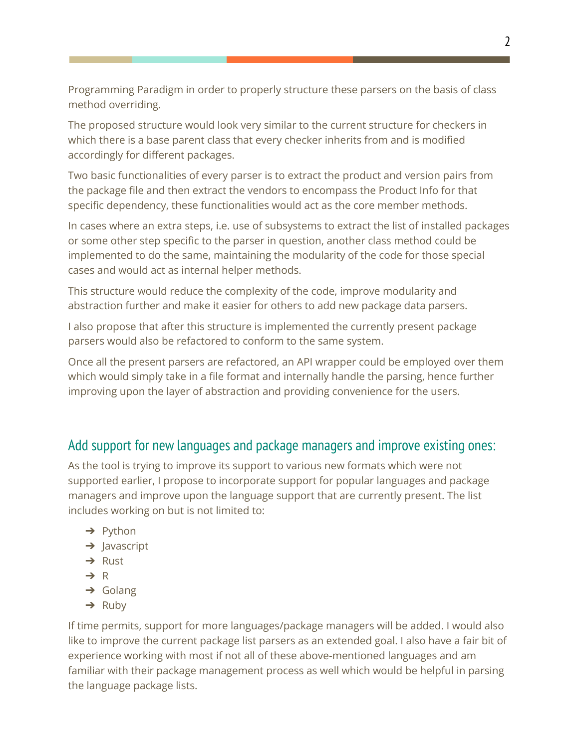Programming Paradigm in order to properly structure these parsers on the basis of class method overriding.

The proposed structure would look very similar to the current structure for checkers in which there is a base parent class that every checker inherits from and is modified accordingly for different packages.

Two basic functionalities of every parser is to extract the product and version pairs from the package file and then extract the vendors to encompass the Product Info for that specific dependency, these functionalities would act as the core member methods.

In cases where an extra steps, i.e. use of subsystems to extract the list of installed packages or some other step specific to the parser in question, another class method could be implemented to do the same, maintaining the modularity of the code for those special cases and would act as internal helper methods.

This structure would reduce the complexity of the code, improve modularity and abstraction further and make it easier for others to add new package data parsers.

I also propose that after this structure is implemented the currently present package parsers would also be refactored to conform to the same system.

Once all the present parsers are refactored, an API wrapper could be employed over them which would simply take in a file format and internally handle the parsing, hence further improving upon the layer of abstraction and providing convenience for the users.

# Add support for new languages and package managers and improve existing ones:

As the tool is trying to improve its support to various new formats which were not supported earlier, I propose to incorporate support for popular languages and package managers and improve upon the language support that are currently present. The list includes working on but is not limited to:

- → Python
- $\rightarrow$  Javascript
- ➔ Rust
- ➔ R
- $\rightarrow$  Golang
- $\rightarrow$  Ruby

If time permits, support for more languages/package managers will be added. I would also like to improve the current package list parsers as an extended goal. I also have a fair bit of experience working with most if not all of these above-mentioned languages and am familiar with their package management process as well which would be helpful in parsing the language package lists.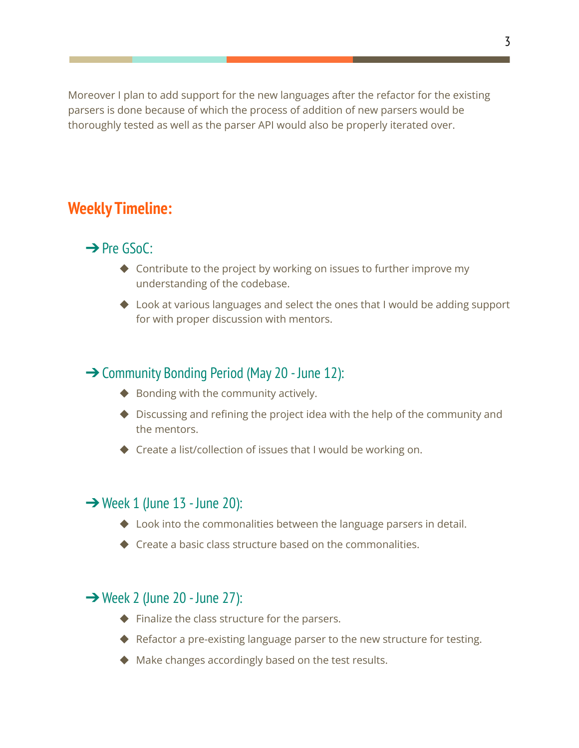Moreover I plan to add support for the new languages after the refactor for the existing parsers is done because of which the process of addition of new parsers would be thoroughly tested as well as the parser API would also be properly iterated over.

# **Weekly Timeline:**

# **→** Pre GSoC:

- ◆ Contribute to the project by working on issues to further improve my understanding of the codebase.
- ◆ Look at various languages and select the ones that I would be adding support for with proper discussion with mentors.

### **→ Community Bonding Period (May 20 - June 12):**

- ◆ Bonding with the community actively.
- ◆ Discussing and refining the project idea with the help of the community and the mentors.
- ◆ Create a list/collection of issues that I would be working on.

#### $\rightarrow$  Week 1 (June 13 - June 20):

- ◆ Look into the commonalities between the language parsers in detail.
- $\triangle$  Create a basic class structure based on the commonalities.

#### ➔Week 2 (June 20 - June 27):

- ◆ Finalize the class structure for the parsers.
- ◆ Refactor a pre-existing language parser to the new structure for testing.
- ◆ Make changes accordingly based on the test results.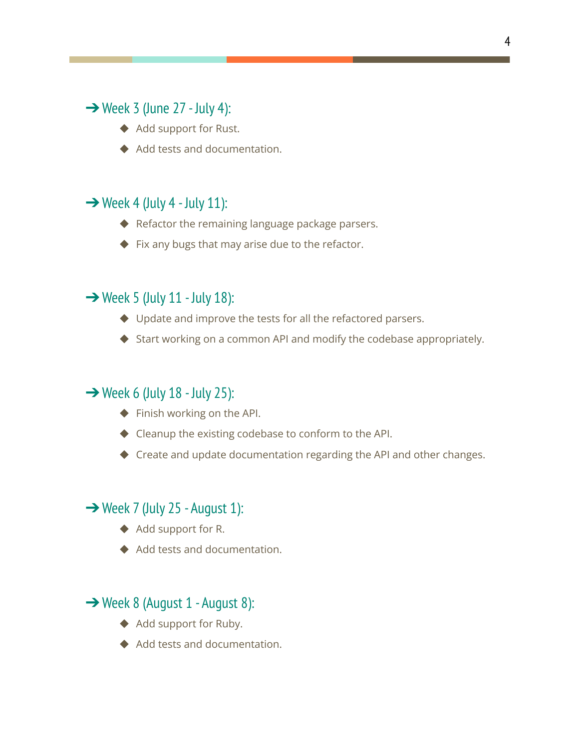# $\rightarrow$  Week 3 (June 27 - July 4):

- ◆ Add support for Rust.
- ◆ Add tests and documentation.

# $\rightarrow$  Week 4 (July 4 - July 11):

- ◆ Refactor the remaining language package parsers.
- ◆ Fix any bugs that may arise due to the refactor.

# $\rightarrow$  Week 5 (July 11 - July 18):

- ◆ Update and improve the tests for all the refactored parsers.
- ◆ Start working on a common API and modify the codebase appropriately.

### $\rightarrow$  Week 6 (July 18 - July 25):

- ◆ Finish working on the API.
- ◆ Cleanup the existing codebase to conform to the API.
- ◆ Create and update documentation regarding the API and other changes.

# $\rightarrow$  Week 7 (July 25 - August 1):

- ◆ Add support for R.
- ◆ Add tests and documentation.

### **→ Week 8 (August 1 - August 8):**

- ◆ Add support for Ruby.
- ◆ Add tests and documentation.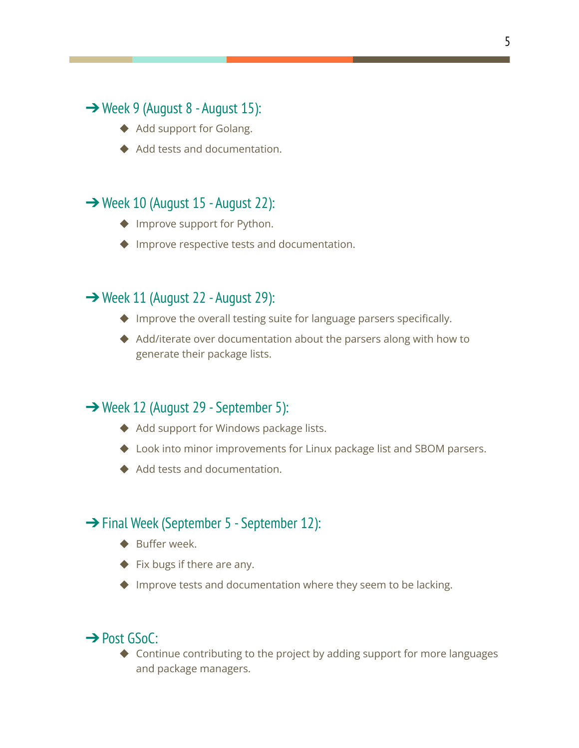# ➔Week 9 (August 8 - August 15):

- ◆ Add support for Golang.
- ◆ Add tests and documentation.

# **→ Week 10 (August 15 - August 22):**

- ◆ Improve support for Python.
- ◆ Improve respective tests and documentation.

# ➔Week 11 (August 22 - August 29):

- ◆ Improve the overall testing suite for language parsers specifically.
- ◆ Add/iterate over documentation about the parsers along with how to generate their package lists.

# **→ Week 12 (August 29 - September 5):**

- ◆ Add support for Windows package lists.
- ◆ Look into minor improvements for Linux package list and SBOM parsers.
- ◆ Add tests and documentation.

### **→ Final Week (September 5 - September 12):**

- ◆ Buffer week.
- ◆ Fix bugs if there are any.
- ◆ Improve tests and documentation where they seem to be lacking.

### **→ Post GSoC:**

◆ Continue contributing to the project by adding support for more languages and package managers.